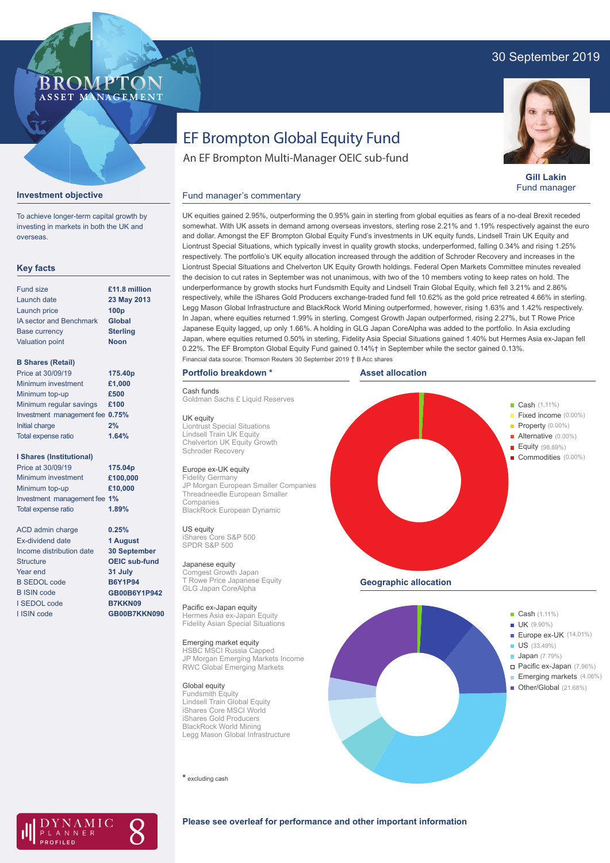# 30 September 2019

# **BROMP** ASSET MANAGEMENT

# EF Brompton Global Equity Fund

An EF Brompton Multi-Manager OEIC sub-fund



**Gill Lakin** Fund manager

#### **Investment objective**

To achieve longer-term capital growth by investing in markets in both the UK and overseas.

## **Key facts**

| <b>Fund size</b>               | £11.8 million    |
|--------------------------------|------------------|
| Launch date                    | 23 May 2013      |
| Launch price                   | 100 <sub>p</sub> |
| <b>IA sector and Benchmark</b> | Global           |
| <b>Base currency</b>           | <b>Sterling</b>  |
| <b>Valuation point</b>         | <b>Noon</b>      |
|                                |                  |

#### **B Shares (Retail)**

| Price at 30/09/19               | 175.40p |
|---------------------------------|---------|
| Minimum investment              | £1,000  |
| Minimum top-up                  | £500    |
| Minimum regular savings         | £100    |
| Investment management fee 0.75% |         |
| Initial charge                  | 2%      |
| Total expense ratio             | 1.64%   |
|                                 |         |

#### **I Shares (Institutional)**

Minimum investment Minimum top-up Investment management fee **1%** Total expense ratio **£100,000 £10,000** Price at 30/09/19 **175.04p 1.89%**

> **0.25% 1 August 30 September OEIC sub-fund 31 July B6Y1P94 GB00B6Y1P942 B7KKN09 GB00B7KKN090**

ACD admin charge Ex-dividend date Income distribution date Structure Year end B SEDOL code B ISIN code I SEDOL code I ISIN code

UK equities gained 2.95%, outperforming the 0.95% gain in sterling from global equities as fears of a no-deal Brexit receded somewhat. With UK assets in demand among overseas investors, sterling rose 2.21% and 1.19% respectively against the euro and dollar. Amongst the EF Brompton Global Equity Fund's investments in UK equity funds, Lindsell Train UK Equity and

Fund manager's commentary

Liontrust Special Situations, which typically invest in quality growth stocks, underperformed, falling 0.34% and rising 1.25% respectively. The portfolio's UK equity allocation increased through the addition of Schroder Recovery and increases in the Liontrust Special Situations and Chelverton UK Equity Growth holdings. Federal Open Markets Committee minutes revealed the decision to cut rates in September was not unanimous, with two of the 10 members voting to keep rates on hold. The underperformance by growth stocks hurt Fundsmith Equity and Lindsell Train Global Equity, which fell 3.21% and 2.86% respectively, while the iShares Gold Producers exchange-traded fund fell 10.62% as the gold price retreated 4.66% in sterling. Legg Mason Global Infrastructure and BlackRock World Mining outperformed, however, rising 1.63% and 1.42% respectively. In Japan, where equities returned 1.99% in sterling, Comgest Growth Japan outperformed, rising 2.27%, but T Rowe Price Japanese Equity lagged, up only 1.66%. A holding in GLG Japan CoreAlpha was added to the portfolio. In Asia excluding Japan, where equities returned 0.50% in sterling, Fidelity Asia Special Situations gained 1.40% but Hermes Asia ex-Japan fell 0.22%. The EF Brompton Global Equity Fund gained 0.14%† in September while the sector gained 0.13%. Financial data source: Thomson Reuters 30 September 2019 † B Acc shares

## **Portfolio breakdown \***

#### Cash funds

Goldman Sachs £ Liquid Reserves

#### UK equity

Liontrust Special Situations Lindsell Train UK Equity Chelverton UK Equity Growth Schroder Recovery

## Europe ex-UK equity

Fidelity Germany JP Morgan European Smaller Companies Threadneedle European Smaller BlackRock European Dynamic

iShares Core S&P 500 SPDR S&P 500

#### Japanese equity

Comgest Growth Japan T Rowe Price Japanese Equity GLG Japan CoreAlpha

Pacific ex-Japan equity Hermes Asia ex-Japan Equity Fidelity Asian Special Situations

#### Emerging market equity

HSBC MSCI Russia Capped JP Morgan Emerging Markets Income RWC Global Emerging Markets

## Global equity

Fundsmith Equity Lindsell Train Global Equity iShares Core MSCI World iShares Gold Producers BlackRock World Mining Legg Mason Global Infrastructure

**\*** excluding cash





- **Japan** (7.79%)
	- Pacific ex-Japan (7.96%)
	- Emerging markets (4.06%)
- De Cher/Global (21.68%)



#### **Please see overleaf for performance and other important information**

Companies US equity